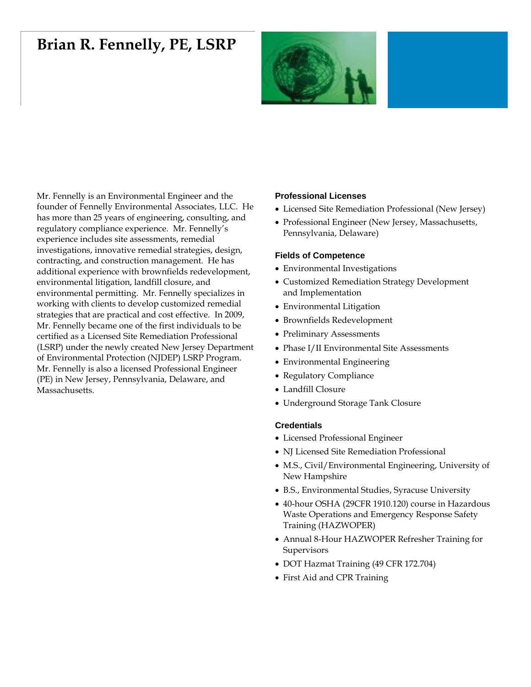# **Brian R. Fennelly, PE, LSRP**



Mr. Fennelly is an Environmental Engineer and the founder of Fennelly Environmental Associates, LLC. He has more than 25 years of engineering, consulting, and regulatory compliance experience. Mr. Fennelly's experience includes site assessments, remedial investigations, innovative remedial strategies, design, contracting, and construction management. He has additional experience with brownfields redevelopment, environmental litigation, landfill closure, and environmental permitting. Mr. Fennelly specializes in working with clients to develop customized remedial strategies that are practical and cost effective. In 2009, Mr. Fennelly became one of the first individuals to be certified as a Licensed Site Remediation Professional (LSRP) under the newly created New Jersey Department of Environmental Protection (NJDEP) LSRP Program. Mr. Fennelly is also a licensed Professional Engineer (PE) in New Jersey, Pennsylvania, Delaware, and Massachusetts.

### **Professional Licenses**

- Licensed Site Remediation Professional (New Jersey)
- Professional Engineer (New Jersey, Massachusetts, Pennsylvania, Delaware)

#### **Fields of Competence**

- Environmental Investigations
- Customized Remediation Strategy Development and Implementation
- Environmental Litigation
- Brownfields Redevelopment
- Preliminary Assessments
- Phase I/II Environmental Site Assessments
- Environmental Engineering
- Regulatory Compliance
- Landfill Closure
- Underground Storage Tank Closure

#### **Credentials**

- Licensed Professional Engineer
- NJ Licensed Site Remediation Professional
- M.S., Civil/Environmental Engineering, University of New Hampshire
- B.S., Environmental Studies, Syracuse University
- 40-hour OSHA (29CFR 1910.120) course in Hazardous Waste Operations and Emergency Response Safety Training (HAZWOPER)
- Annual 8-Hour HAZWOPER Refresher Training for Supervisors
- DOT Hazmat Training (49 CFR 172.704)
- First Aid and CPR Training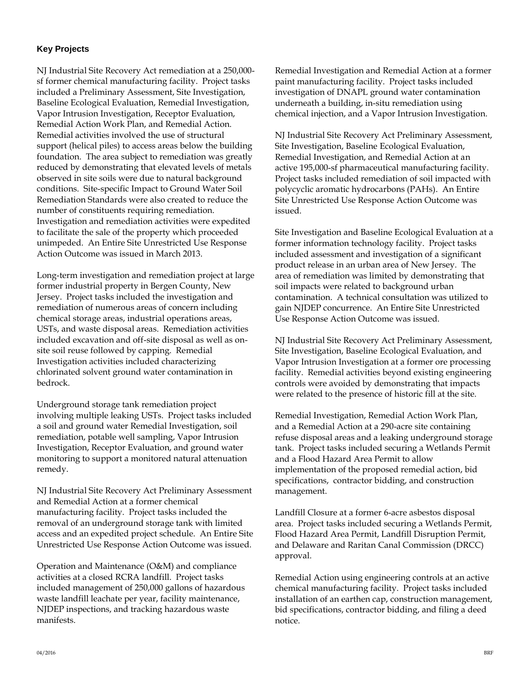## **Key Projects**

NJ Industrial Site Recovery Act remediation at a 250,000 sf former chemical manufacturing facility. Project tasks included a Preliminary Assessment, Site Investigation, Baseline Ecological Evaluation, Remedial Investigation, Vapor Intrusion Investigation, Receptor Evaluation, Remedial Action Work Plan, and Remedial Action. Remedial activities involved the use of structural support (helical piles) to access areas below the building foundation. The area subject to remediation was greatly reduced by demonstrating that elevated levels of metals observed in site soils were due to natural background conditions. Site-specific Impact to Ground Water Soil Remediation Standards were also created to reduce the number of constituents requiring remediation. Investigation and remediation activities were expedited to facilitate the sale of the property which proceeded unimpeded. An Entire Site Unrestricted Use Response Action Outcome was issued in March 2013.

Long-term investigation and remediation project at large former industrial property in Bergen County, New Jersey. Project tasks included the investigation and remediation of numerous areas of concern including chemical storage areas, industrial operations areas, USTs, and waste disposal areas. Remediation activities included excavation and off-site disposal as well as onsite soil reuse followed by capping. Remedial Investigation activities included characterizing chlorinated solvent ground water contamination in bedrock.

Underground storage tank remediation project involving multiple leaking USTs. Project tasks included a soil and ground water Remedial Investigation, soil remediation, potable well sampling, Vapor Intrusion Investigation, Receptor Evaluation, and ground water monitoring to support a monitored natural attenuation remedy.

NJ Industrial Site Recovery Act Preliminary Assessment and Remedial Action at a former chemical manufacturing facility. Project tasks included the removal of an underground storage tank with limited access and an expedited project schedule. An Entire Site Unrestricted Use Response Action Outcome was issued.

Operation and Maintenance (O&M) and compliance activities at a closed RCRA landfill. Project tasks included management of 250,000 gallons of hazardous waste landfill leachate per year, facility maintenance, NJDEP inspections, and tracking hazardous waste manifests.

Remedial Investigation and Remedial Action at a former paint manufacturing facility. Project tasks included investigation of DNAPL ground water contamination underneath a building, in-situ remediation using chemical injection, and a Vapor Intrusion Investigation.

NJ Industrial Site Recovery Act Preliminary Assessment, Site Investigation, Baseline Ecological Evaluation, Remedial Investigation, and Remedial Action at an active 195,000-sf pharmaceutical manufacturing facility. Project tasks included remediation of soil impacted with polycyclic aromatic hydrocarbons (PAHs). An Entire Site Unrestricted Use Response Action Outcome was issued.

Site Investigation and Baseline Ecological Evaluation at a former information technology facility. Project tasks included assessment and investigation of a significant product release in an urban area of New Jersey. The area of remediation was limited by demonstrating that soil impacts were related to background urban contamination. A technical consultation was utilized to gain NJDEP concurrence. An Entire Site Unrestricted Use Response Action Outcome was issued.

NJ Industrial Site Recovery Act Preliminary Assessment, Site Investigation, Baseline Ecological Evaluation, and Vapor Intrusion Investigation at a former ore processing facility. Remedial activities beyond existing engineering controls were avoided by demonstrating that impacts were related to the presence of historic fill at the site.

Remedial Investigation, Remedial Action Work Plan, and a Remedial Action at a 290-acre site containing refuse disposal areas and a leaking underground storage tank. Project tasks included securing a Wetlands Permit and a Flood Hazard Area Permit to allow implementation of the proposed remedial action, bid specifications, contractor bidding, and construction management.

Landfill Closure at a former 6-acre asbestos disposal area. Project tasks included securing a Wetlands Permit, Flood Hazard Area Permit, Landfill Disruption Permit, and Delaware and Raritan Canal Commission (DRCC) approval.

Remedial Action using engineering controls at an active chemical manufacturing facility. Project tasks included installation of an earthen cap, construction management, bid specifications, contractor bidding, and filing a deed notice.